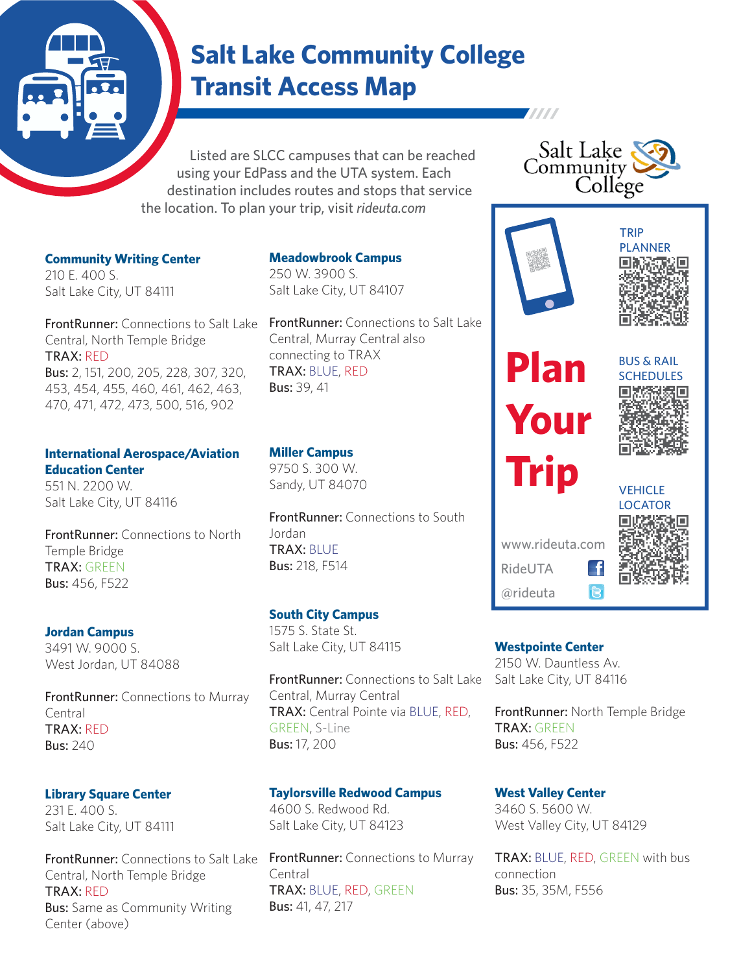# **Salt Lake Community College Transit Access Map**

 Listed are SLCC campuses that can be reached using your EdPass and the UTA system. Each destination includes routes and stops that service the location. To plan your trip, visit *rideuta.com*

**Community Writing Center** 210 E. 400 S. Salt Lake City, UT 84111

**FrontRunner:** Connections to Salt Lake Central, North Temple Bridge TRAX: RED Bus: 2, 151, 200, 205, 228, 307, 320, 453, 454, 455, 460, 461, 462, 463,

#### **International Aerospace/Aviation Education Center**

470, 471, 472, 473, 500, 516, 902

551 N. 2200 W. Salt Lake City, UT 84116

FrontRunner: Connections to North Temple Bridge TRAX: GREEN Bus: 456, F522

#### **Jordan Campus**

3491 W. 9000 S. West Jordan, UT 84088

**FrontRunner:** Connections to Murray Central TRAX: RED Bus: 240

#### **Library Square Center**

231 E. 400 S. Salt Lake City, UT 84111

**FrontRunner:** Connections to Salt Lake Central, North Temple Bridge TRAX: RED **Bus:** Same as Community Writing Center (above)

**Meadowbrook Campus** 250 W. 3900 S. Salt Lake City, UT 84107

FrontRunner: Connections to Salt Lake Central, Murray Central also connecting to TRAX TRAX: BLUE, RED Bus: 39, 41

#### **Miller Campus**

9750 S. 300 W. Sandy, UT 84070

FrontRunner: Connections to South Jordan TRAX: BLUE Bus: 218, F514

### **South City Campus**

1575 S. State St. Salt Lake City, UT 84115

FrontRunner: Connections to Salt Lake Central, Murray Central TRAX: Central Pointe via BLUE, RED, GREEN, S-Line Bus: 17, 200

#### **Taylorsville Redwood Campus**

4600 S. Redwood Rd. Salt Lake City, UT 84123

FrontRunner: Connections to Murray Central TRAX: BLUE, RED, GREEN Bus: 41, 47, 217





**TITTI** 

**Plan**

**Your**

**Trip**

www.rideuta.com

RideUTA @rideuta





VEHICLE LOCATOR

**Westpointe Center**

2150 W. Dauntless Av. Salt Lake City, UT 84116

FrontRunner: North Temple Bridge TRAX: GREEN Bus: 456, F522

-f  $\mathbf{R}$ 

#### **West Valley Center** 3460 S. 5600 W.

West Valley City, UT 84129

TRAX: BLUE, RED, GREEN with bus connection Bus: 35, 35M, F556